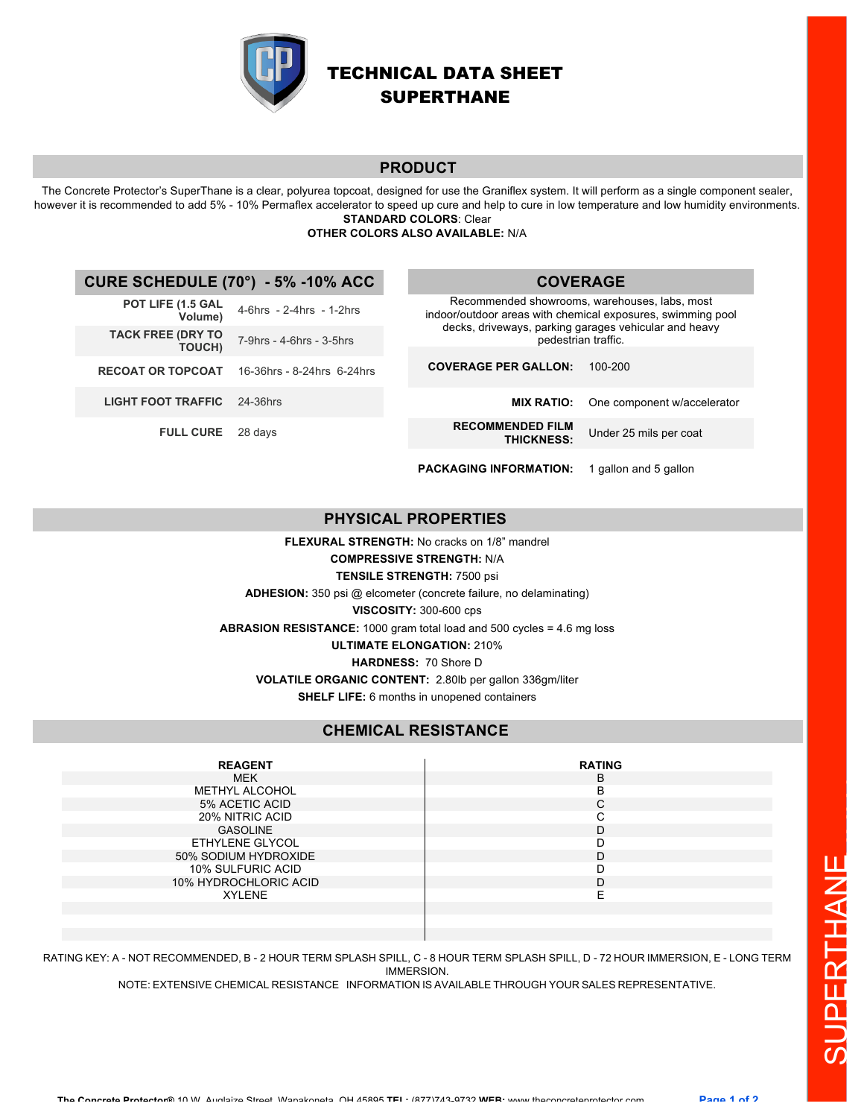

# TECHNICAL DATA SHEET SUPERTHANE

**COVERAGE**

## **PRODUCT**

The Concrete Protector's SuperThane is a clear, polyurea topcoat, designed for use the Graniflex system. It will perform as a single component sealer, however it is recommended to add 5% - 10% Permaflex accelerator to speed up cure and help to cure in low temperature and low humidity environments. **STANDARD COLORS**: Clear

## **OTHER COLORS ALSO AVAILABLE:** N/A

# **CURE SCHEDULE (70°) - 5% -10% ACC**

| POT LIFE (1.5 GAL<br>Volume)       | 4-6hrs - 2-4hrs - 1-2hrs   | Recommended showrooms, warehouses, labs, most<br>indoor/outdoor areas with chemical exposures, swimming pool<br>decks, driveways, parking garages vehicular and heavy<br>pedestrian traffic. |                             |
|------------------------------------|----------------------------|----------------------------------------------------------------------------------------------------------------------------------------------------------------------------------------------|-----------------------------|
| <b>TACK FREE (DRY TO</b><br>TOUCH) | 7-9hrs - 4-6hrs - 3-5hrs   |                                                                                                                                                                                              |                             |
|                                    |                            |                                                                                                                                                                                              |                             |
| <b>RECOAT OR TOPCOAT</b>           | 16-36hrs - 8-24hrs 6-24hrs | <b>COVERAGE PER GALLON:</b>                                                                                                                                                                  | 100-200                     |
|                                    |                            |                                                                                                                                                                                              |                             |
| <b>LIGHT FOOT TRAFFIC</b>          | 24-36hrs                   | <b>MIX RATIO:</b>                                                                                                                                                                            | One component w/accelerator |
| <b>FULL CURE</b>                   | 28 days                    | <b>RECOMMENDED FILM</b>                                                                                                                                                                      | Under 25 mils per coat      |
|                                    |                            | <b>THICKNESS:</b>                                                                                                                                                                            |                             |
|                                    |                            |                                                                                                                                                                                              |                             |
|                                    |                            | <b>PACKAGING INFORMATION:</b>                                                                                                                                                                | 1 gallon and 5 gallon       |

# **PHYSICAL PROPERTIES**

**FLEXURAL STRENGTH:** No cracks on 1/8" mandrel

**COMPRESSIVE STRENGTH:** N/A

#### **TENSILE STRENGTH:** 7500 psi

**ADHESION:** 350 psi @ elcometer (concrete failure, no delaminating)

**VISCOSITY:** 300-600 cps

**ABRASION RESISTANCE:** 1000 gram total load and 500 cycles = 4.6 mg loss

**ULTIMATE ELONGATION:** 210%

#### **HARDNESS:** 70 Shore D

**VOLATILE ORGANIC CONTENT:** 2.80lb per gallon 336gm/liter

**SHELF LIFE:** 6 months in unopened containers

# **CHEMICAL RESISTANCE**

| <b>REAGENT</b>        | <b>RATING</b> |
|-----------------------|---------------|
| MEK                   | B             |
| METHYL ALCOHOL        | в             |
| 5% ACETIC ACID        | С             |
| 20% NITRIC ACID       |               |
| <b>GASOLINE</b>       |               |
| ETHYLENE GLYCOL       |               |
| 50% SODIUM HYDROXIDE  |               |
| 10% SULFURIC ACID     |               |
| 10% HYDROCHLORIC ACID |               |
| <b>XYLENE</b>         |               |
|                       |               |
|                       |               |

RATING KEY: A - NOT RECOMMENDED, B - 2 HOUR TERM SPLASH SPILL, C - 8 HOUR TERM SPLASH SPILL, D - 72 HOUR IMMERSION, E - LONG TERM IMMERSION.

NOTE: EXTENSIVE CHEMICAL RESISTANCE INFORMATION IS AVAILABLE THROUGH YOUR SALES REPRESENTATIVE.